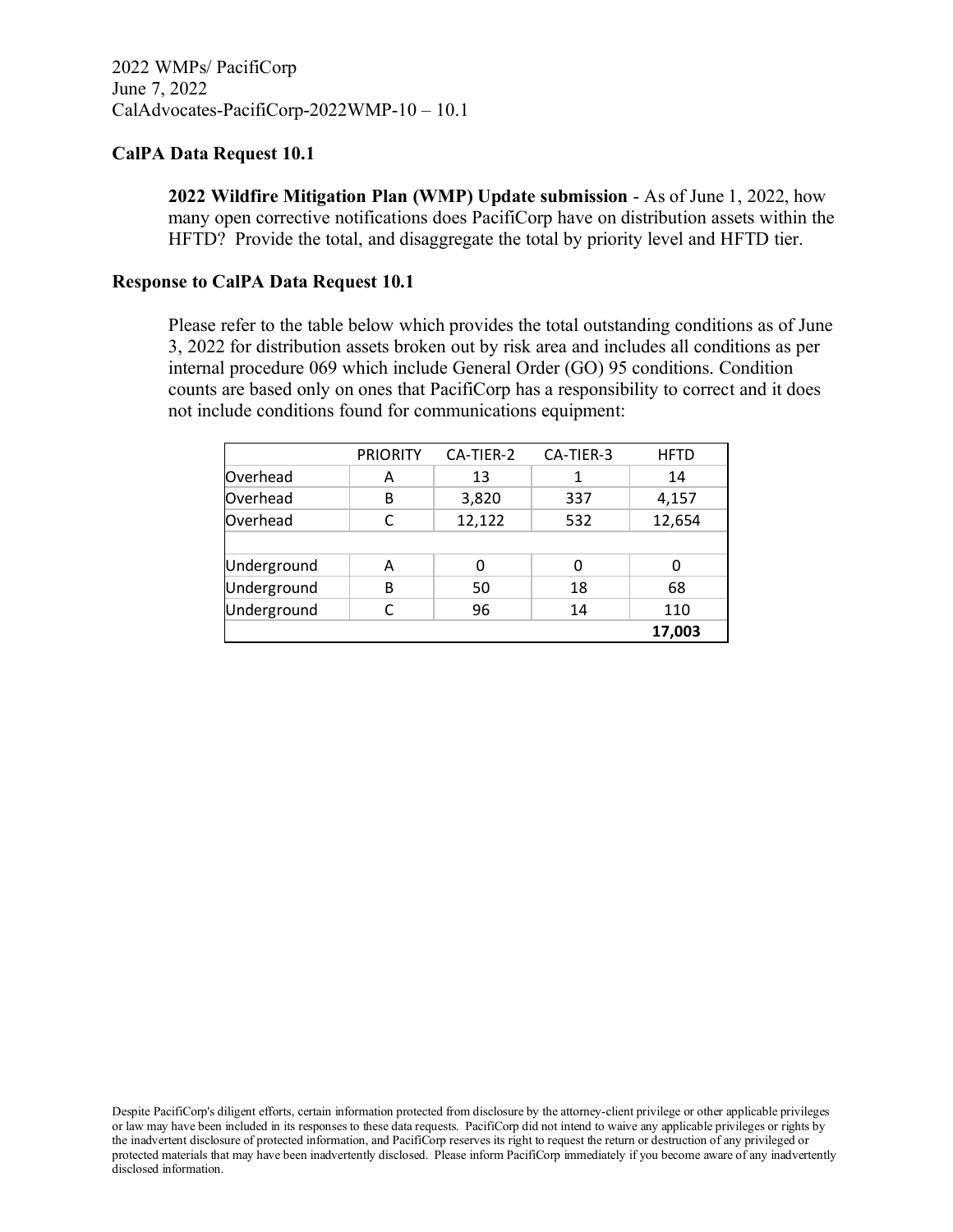**2022 Wildfire Mitigation Plan (WMP) Update submission** - As of June 1, 2022, how many open corrective notifications does PacifiCorp have on distribution assets within the HFTD? Provide the total, and disaggregate the total by priority level and HFTD tier.

#### **Response to CalPA Data Request 10.1**

Please refer to the table below which provides the total outstanding conditions as of June 3, 2022 for distribution assets broken out by risk area and includes all conditions as per internal procedure 069 which include General Order (GO) 95 conditions. Condition counts are based only on ones that PacifiCorp has a responsibility to correct and it does not include conditions found for communications equipment:

|             | <b>PRIORITY</b> | CA-TIER-2 | CA-TIER-3 | <b>HFTD</b> |
|-------------|-----------------|-----------|-----------|-------------|
| Overhead    | Α               | 13        | 1         | 14          |
| Overhead    | B               | 3,820     | 337       | 4,157       |
| Overhead    |                 | 12,122    | 532       | 12,654      |
|             |                 |           |           |             |
| Underground | Α               | 0         | 0         |             |
| Underground | B               | 50        | 18        | 68          |
| Underground |                 | 96        | 14        | 110         |
|             |                 |           |           | 17,003      |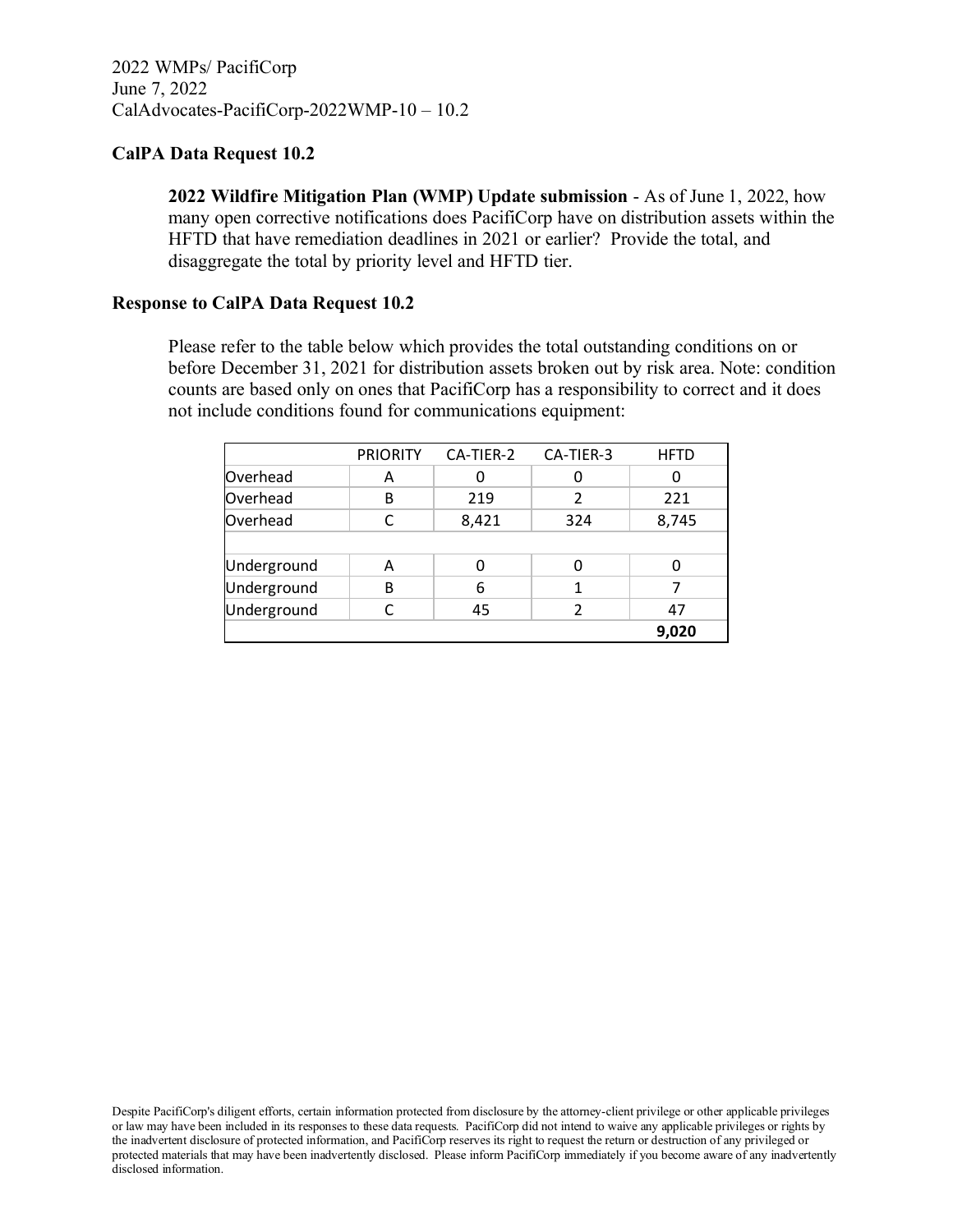**2022 Wildfire Mitigation Plan (WMP) Update submission** - As of June 1, 2022, how many open corrective notifications does PacifiCorp have on distribution assets within the HFTD that have remediation deadlines in 2021 or earlier? Provide the total, and disaggregate the total by priority level and HFTD tier.

### **Response to CalPA Data Request 10.2**

Please refer to the table below which provides the total outstanding conditions on or before December 31, 2021 for distribution assets broken out by risk area. Note: condition counts are based only on ones that PacifiCorp has a responsibility to correct and it does not include conditions found for communications equipment:

|             | <b>PRIORITY</b> | CA-TIER-2 | CA-TIER-3 | <b>HFTD</b> |
|-------------|-----------------|-----------|-----------|-------------|
| Overhead    | А               |           |           |             |
| Overhead    | B               | 219       | 2         | 221         |
| Overhead    |                 | 8,421     | 324       | 8,745       |
|             |                 |           |           |             |
| Underground | Α               |           |           |             |
| Underground | B               | 6         |           |             |
| Underground |                 | 45        | 2         | 47          |
|             |                 |           |           | 9,020       |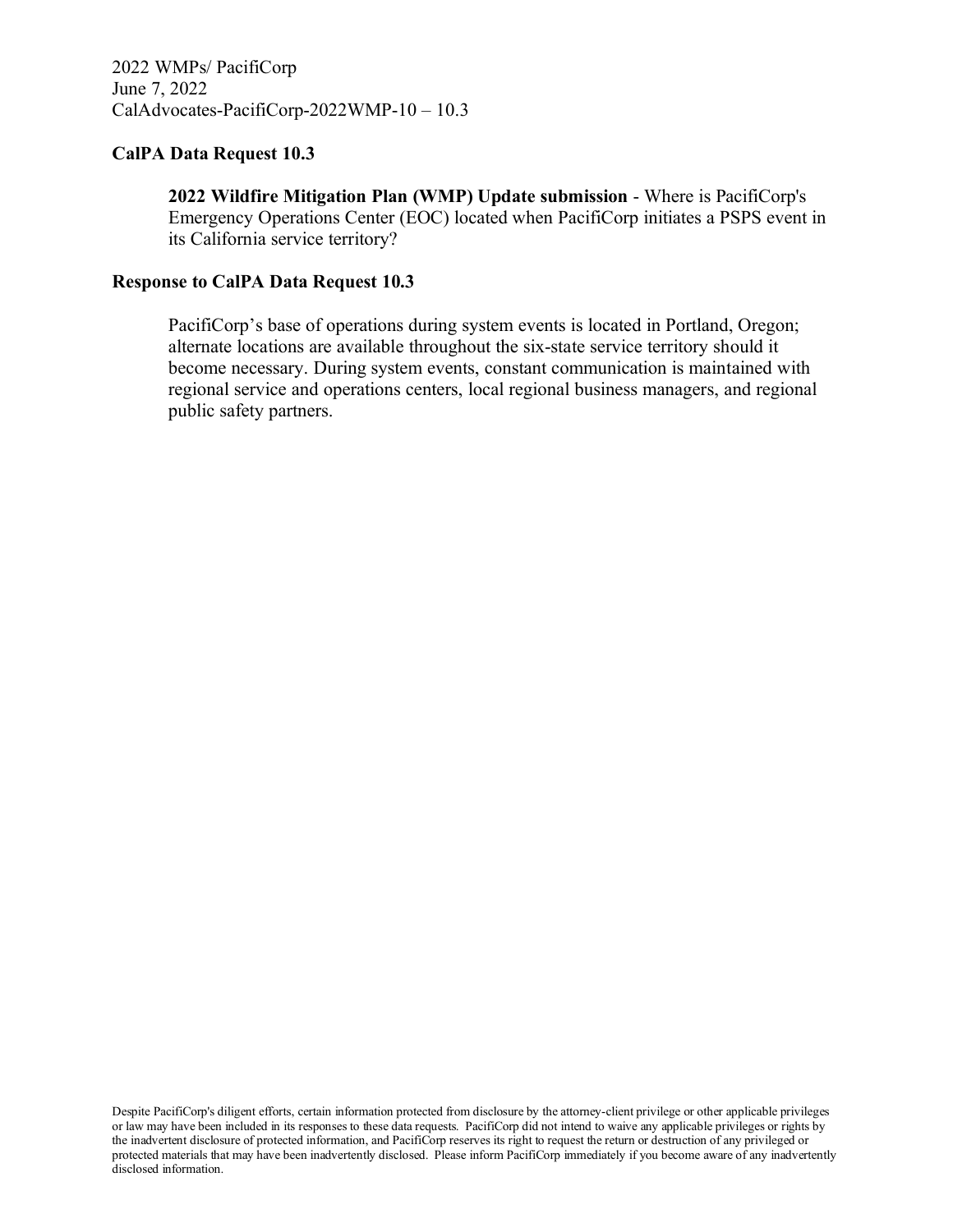**2022 Wildfire Mitigation Plan (WMP) Update submission** - Where is PacifiCorp's Emergency Operations Center (EOC) located when PacifiCorp initiates a PSPS event in its California service territory?

#### **Response to CalPA Data Request 10.3**

PacifiCorp's base of operations during system events is located in Portland, Oregon; alternate locations are available throughout the six-state service territory should it become necessary. During system events, constant communication is maintained with regional service and operations centers, local regional business managers, and regional public safety partners.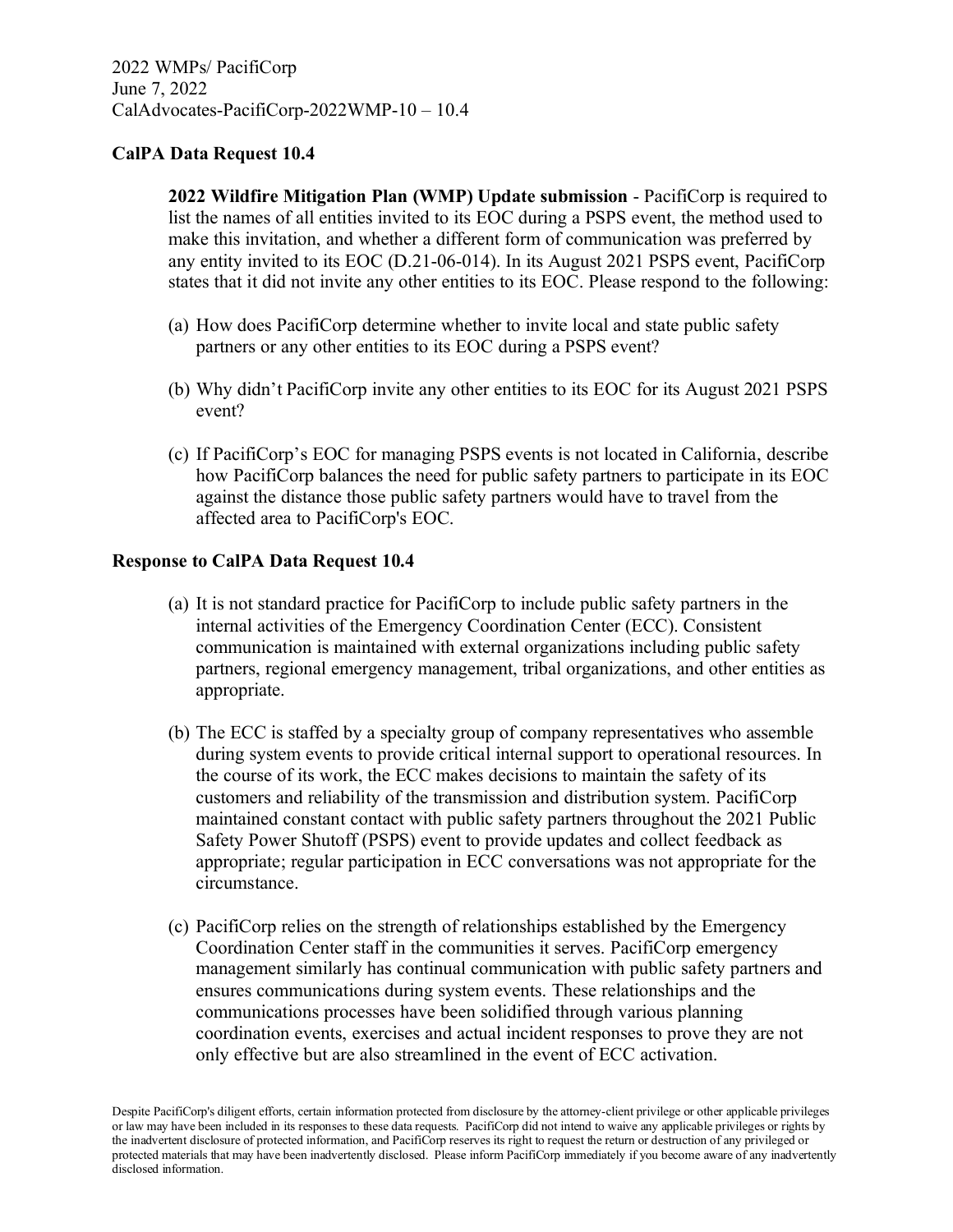**2022 Wildfire Mitigation Plan (WMP) Update submission** - PacifiCorp is required to list the names of all entities invited to its EOC during a PSPS event, the method used to make this invitation, and whether a different form of communication was preferred by any entity invited to its EOC (D.21-06-014). In its August 2021 PSPS event, PacifiCorp states that it did not invite any other entities to its EOC. Please respond to the following:

- (a) How does PacifiCorp determine whether to invite local and state public safety partners or any other entities to its EOC during a PSPS event?
- (b) Why didn't PacifiCorp invite any other entities to its EOC for its August 2021 PSPS event?
- (c) If PacifiCorp's EOC for managing PSPS events is not located in California, describe how PacifiCorp balances the need for public safety partners to participate in its EOC against the distance those public safety partners would have to travel from the affected area to PacifiCorp's EOC.

### **Response to CalPA Data Request 10.4**

- (a) It is not standard practice for PacifiCorp to include public safety partners in the internal activities of the Emergency Coordination Center (ECC). Consistent communication is maintained with external organizations including public safety partners, regional emergency management, tribal organizations, and other entities as appropriate.
- (b) The ECC is staffed by a specialty group of company representatives who assemble during system events to provide critical internal support to operational resources. In the course of its work, the ECC makes decisions to maintain the safety of its customers and reliability of the transmission and distribution system. PacifiCorp maintained constant contact with public safety partners throughout the 2021 Public Safety Power Shutoff (PSPS) event to provide updates and collect feedback as appropriate; regular participation in ECC conversations was not appropriate for the circumstance.
- (c) PacifiCorp relies on the strength of relationships established by the Emergency Coordination Center staff in the communities it serves. PacifiCorp emergency management similarly has continual communication with public safety partners and ensures communications during system events. These relationships and the communications processes have been solidified through various planning coordination events, exercises and actual incident responses to prove they are not only effective but are also streamlined in the event of ECC activation.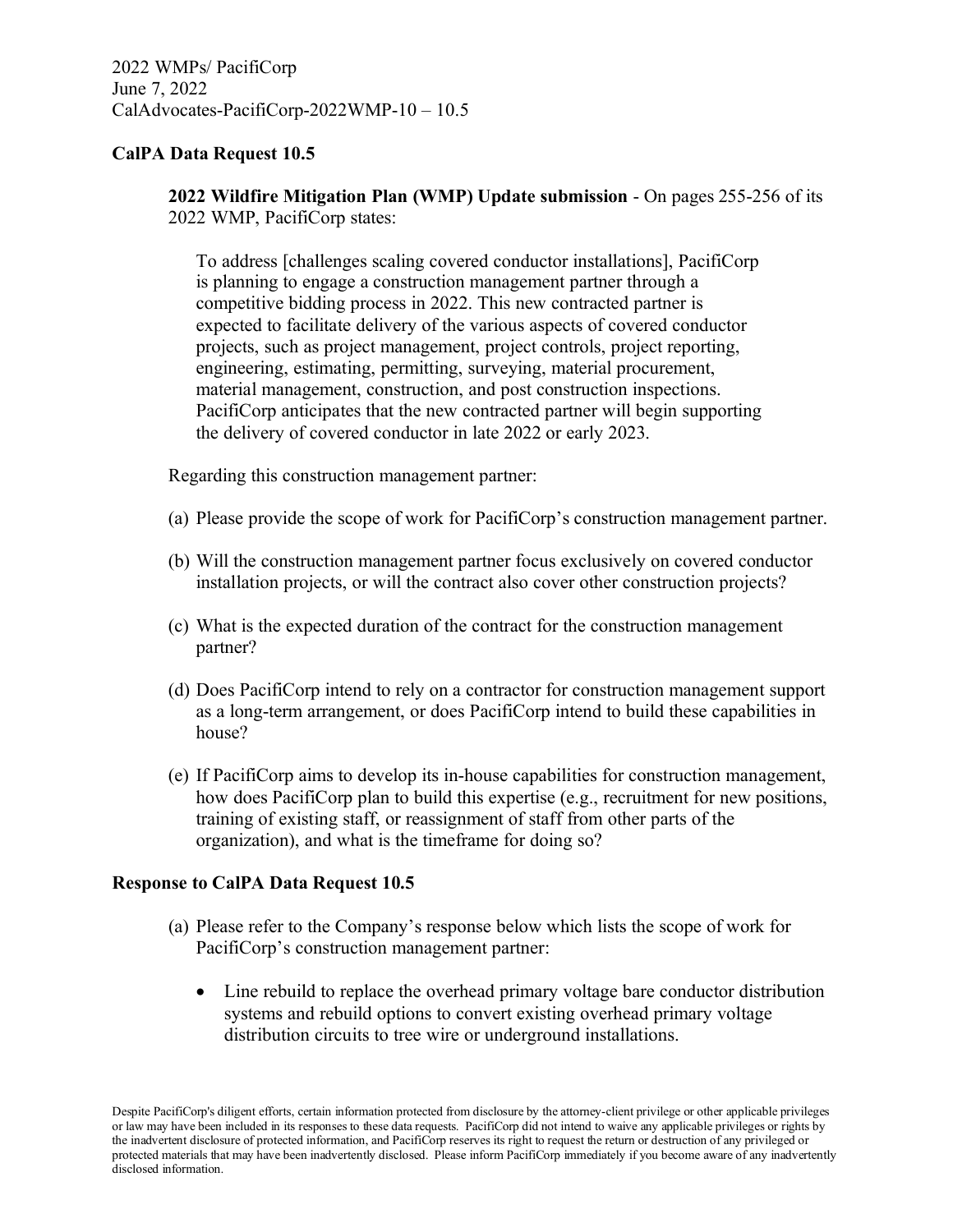**2022 Wildfire Mitigation Plan (WMP) Update submission** - On pages 255-256 of its 2022 WMP, PacifiCorp states:

To address [challenges scaling covered conductor installations], PacifiCorp is planning to engage a construction management partner through a competitive bidding process in 2022. This new contracted partner is expected to facilitate delivery of the various aspects of covered conductor projects, such as project management, project controls, project reporting, engineering, estimating, permitting, surveying, material procurement, material management, construction, and post construction inspections. PacifiCorp anticipates that the new contracted partner will begin supporting the delivery of covered conductor in late 2022 or early 2023.

Regarding this construction management partner:

- (a) Please provide the scope of work for PacifiCorp's construction management partner.
- (b) Will the construction management partner focus exclusively on covered conductor installation projects, or will the contract also cover other construction projects?
- (c) What is the expected duration of the contract for the construction management partner?
- (d) Does PacifiCorp intend to rely on a contractor for construction management support as a long-term arrangement, or does PacifiCorp intend to build these capabilities in house?
- (e) If PacifiCorp aims to develop its in-house capabilities for construction management, how does PacifiCorp plan to build this expertise (e.g., recruitment for new positions, training of existing staff, or reassignment of staff from other parts of the organization), and what is the timeframe for doing so?

# **Response to CalPA Data Request 10.5**

- (a) Please refer to the Company's response below which lists the scope of work for PacifiCorp's construction management partner:
	- Line rebuild to replace the overhead primary voltage bare conductor distribution systems and rebuild options to convert existing overhead primary voltage distribution circuits to tree wire or underground installations.